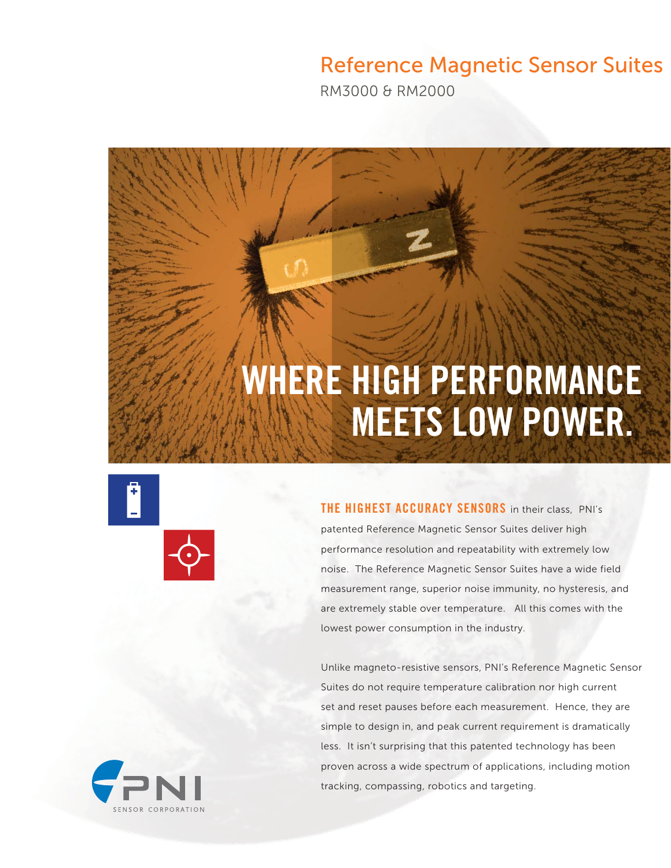## Reference Magnetic Sensor Suites

RM3000 & RM2000

# WHERE HIGH PERFORMANCE MEETS LOW POWER.





THE HIGHEST ACCURACY SENSORS in their class, PNI's patented Reference Magnetic Sensor Suites deliver high performance resolution and repeatability with extremely low noise. The Reference Magnetic Sensor Suites have a wide field measurement range, superior noise immunity, no hysteresis, and are extremely stable over temperature. All this comes with the lowest power consumption in the industry.

Unlike magneto-resistive sensors, PNI's Reference Magnetic Sensor Suites do not require temperature calibration nor high current set and reset pauses before each measurement. Hence, they are simple to design in, and peak current requirement is dramatically less. It isn't surprising that this patented technology has been proven across a wide spectrum of applications, including motion tracking, compassing, robotics and targeting.